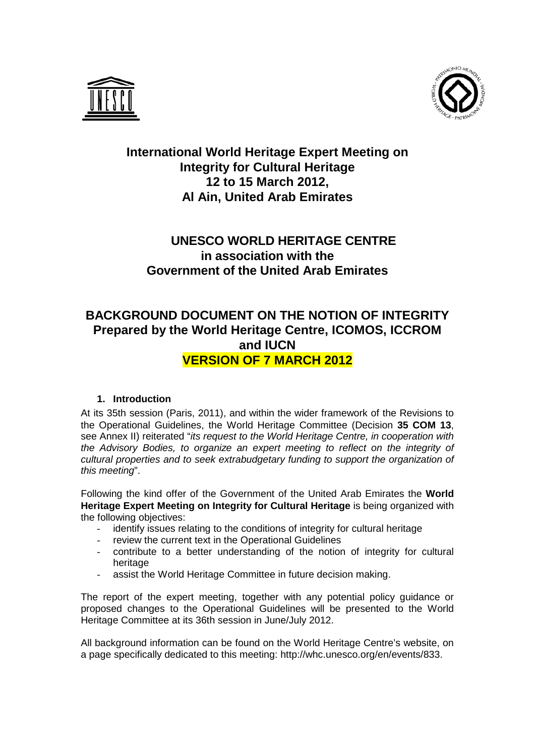



# **International World Heritage Expert Meeting on Integrity for Cultural Heritage 12 to 15 March 2012, Al Ain, United Arab Emirates**

# **UNESCO WORLD HERITAGE CENTRE in association with the Government of the United Arab Emirates**

# **BACKGROUND DOCUMENT ON THE NOTION OF INTEGRITY Prepared by the World Heritage Centre, ICOMOS, ICCROM and IUCN VERSION OF 7 MARCH 2012**

# **1. Introduction**

At its 35th session (Paris, 2011), and within the wider framework of the Revisions to the Operational Guidelines, the World Heritage Committee (Decision **35 COM 13**, see Annex II) reiterated "*its request to the World Heritage Centre, in cooperation with the Advisory Bodies, to organize an expert meeting to reflect on the integrity of cultural properties and to seek extrabudgetary funding to support the organization of this meeting*".

Following the kind offer of the Government of the United Arab Emirates the **World Heritage Expert Meeting on Integrity for Cultural Heritage** is being organized with the following objectives:

- identify issues relating to the conditions of integrity for cultural heritage
- review the current text in the Operational Guidelines
- contribute to a better understanding of the notion of integrity for cultural heritage
- assist the World Heritage Committee in future decision making.

The report of the expert meeting, together with any potential policy guidance or proposed changes to the Operational Guidelines will be presented to the World Heritage Committee at its 36th session in June/July 2012.

All background information can be found on the World Heritage Centre's website, on a page specifically dedicated to this meeting: http://whc.unesco.org/en/events/833.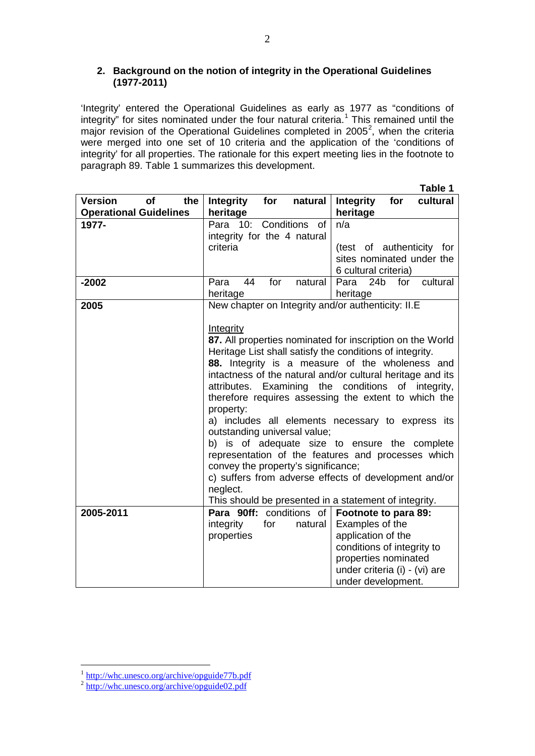## **2. Background on the notion of integrity in the Operational Guidelines (1977-2011)**

'Integrity' entered the Operational Guidelines as early as 1977 as "conditions of integrity" for sites nominated under the four natural criteria.<sup>[1](#page-1-0)</sup> This remained until the major revision of the Operational Guidelines completed in [2](#page-1-1)005<sup>2</sup>, when the criteria were merged into one set of 10 criteria and the application of the 'conditions of integrity' for all properties. The rationale for this expert meeting lies in the footnote to paragraph 89. Table 1 summarizes this development.

|                                    |                                                                                                                                                                                                                                                                                                 | Table 1                                              |
|------------------------------------|-------------------------------------------------------------------------------------------------------------------------------------------------------------------------------------------------------------------------------------------------------------------------------------------------|------------------------------------------------------|
| <b>of</b><br><b>Version</b><br>the | Integrity<br>for<br>natural                                                                                                                                                                                                                                                                     | <b>Integrity</b><br>for<br>cultural                  |
| <b>Operational Guidelines</b>      | heritage                                                                                                                                                                                                                                                                                        | heritage                                             |
| 1977-                              | Para<br>10:<br>Conditions<br>of                                                                                                                                                                                                                                                                 | n/a                                                  |
|                                    | integrity for the 4 natural                                                                                                                                                                                                                                                                     |                                                      |
|                                    | criteria                                                                                                                                                                                                                                                                                        | (test of authenticity for                            |
|                                    |                                                                                                                                                                                                                                                                                                 | sites nominated under the                            |
|                                    |                                                                                                                                                                                                                                                                                                 | 6 cultural criteria)                                 |
| $-2002$                            | 44<br>for<br>Para<br>natural                                                                                                                                                                                                                                                                    | 24 <sub>b</sub><br>for<br>cultural<br>Para           |
|                                    | heritage                                                                                                                                                                                                                                                                                        | heritage                                             |
| 2005                               | New chapter on Integrity and/or authenticity: II.E                                                                                                                                                                                                                                              |                                                      |
|                                    |                                                                                                                                                                                                                                                                                                 |                                                      |
|                                    | Integrity                                                                                                                                                                                                                                                                                       |                                                      |
|                                    | 87. All properties nominated for inscription on the World<br>Heritage List shall satisfy the conditions of integrity.<br>88. Integrity is a measure of the wholeness and<br>intactness of the natural and/or cultural heritage and its<br>attributes. Examining the conditions<br>of integrity, |                                                      |
|                                    |                                                                                                                                                                                                                                                                                                 |                                                      |
|                                    |                                                                                                                                                                                                                                                                                                 |                                                      |
|                                    |                                                                                                                                                                                                                                                                                                 |                                                      |
|                                    |                                                                                                                                                                                                                                                                                                 |                                                      |
|                                    |                                                                                                                                                                                                                                                                                                 | therefore requires assessing the extent to which the |
|                                    | property:                                                                                                                                                                                                                                                                                       |                                                      |
|                                    |                                                                                                                                                                                                                                                                                                 | a) includes all elements necessary to express its    |
|                                    | outstanding universal value;<br>b) is of adequate size to ensure the complete<br>representation of the features and processes which<br>convey the property's significance;<br>c) suffers from adverse effects of development and/or                                                             |                                                      |
|                                    |                                                                                                                                                                                                                                                                                                 |                                                      |
|                                    |                                                                                                                                                                                                                                                                                                 |                                                      |
|                                    |                                                                                                                                                                                                                                                                                                 |                                                      |
|                                    |                                                                                                                                                                                                                                                                                                 |                                                      |
|                                    | neglect.                                                                                                                                                                                                                                                                                        |                                                      |
|                                    | This should be presented in a statement of integrity.                                                                                                                                                                                                                                           |                                                      |
| 2005-2011                          | Para 90ff: conditions of                                                                                                                                                                                                                                                                        | Footnote to para 89:                                 |
|                                    | integrity<br>for<br>natural                                                                                                                                                                                                                                                                     | Examples of the                                      |
|                                    | properties                                                                                                                                                                                                                                                                                      | application of the                                   |
|                                    |                                                                                                                                                                                                                                                                                                 | conditions of integrity to                           |
|                                    |                                                                                                                                                                                                                                                                                                 | properties nominated                                 |
|                                    |                                                                                                                                                                                                                                                                                                 | under criteria (i) - (vi) are                        |
|                                    |                                                                                                                                                                                                                                                                                                 | under development.                                   |

<span id="page-1-1"></span><span id="page-1-0"></span><sup>&</sup>lt;sup>1</sup> <http://whc.unesco.org/archive/opguide77b.pdf><br><sup>2</sup> <http://whc.unesco.org/archive/opguide02.pdf>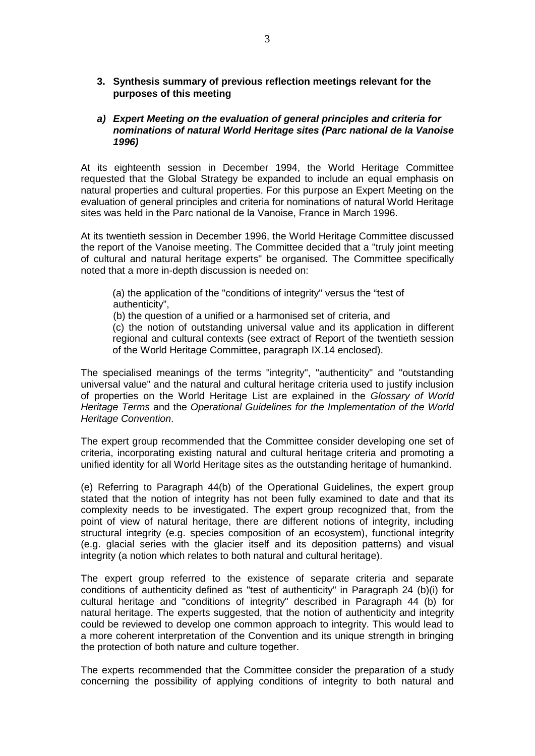## **3. Synthesis summary of previous reflection meetings relevant for the purposes of this meeting**

#### *a) Expert Meeting on the evaluation of general principles and criteria for nominations of natural World Heritage sites (Parc national de la Vanoise 1996)*

At its eighteenth session in December 1994, the World Heritage Committee requested that the Global Strategy be expanded to include an equal emphasis on natural properties and cultural properties. For this purpose an Expert Meeting on the evaluation of general principles and criteria for nominations of natural World Heritage sites was held in the Parc national de la Vanoise, France in March 1996.

At its twentieth session in December 1996, the World Heritage Committee discussed the report of the Vanoise meeting. The Committee decided that a "truly joint meeting of cultural and natural heritage experts" be organised. The Committee specifically noted that a more in-depth discussion is needed on:

(a) the application of the "conditions of integrity" versus the "test of authenticity",

(b) the question of a unified or a harmonised set of criteria, and

(c) the notion of outstanding universal value and its application in different regional and cultural contexts (see extract of Report of the twentieth session of the World Heritage Committee, paragraph IX.14 enclosed).

The specialised meanings of the terms "integrity", "authenticity" and "outstanding universal value" and the natural and cultural heritage criteria used to justify inclusion of properties on the World Heritage List are explained in the *Glossary of World Heritage Terms* and the *Operational Guidelines for the Implementation of the World Heritage Convention*.

The expert group recommended that the Committee consider developing one set of criteria, incorporating existing natural and cultural heritage criteria and promoting a unified identity for all World Heritage sites as the outstanding heritage of humankind.

(e) Referring to Paragraph 44(b) of the Operational Guidelines, the expert group stated that the notion of integrity has not been fully examined to date and that its complexity needs to be investigated. The expert group recognized that, from the point of view of natural heritage, there are different notions of integrity, including structural integrity (e.g. species composition of an ecosystem), functional integrity (e.g. glacial series with the glacier itself and its deposition patterns) and visual integrity (a notion which relates to both natural and cultural heritage).

The expert group referred to the existence of separate criteria and separate conditions of authenticity defined as "test of authenticity" in Paragraph 24 (b)(i) for cultural heritage and "conditions of integrity" described in Paragraph 44 (b) for natural heritage. The experts suggested, that the notion of authenticity and integrity could be reviewed to develop one common approach to integrity. This would lead to a more coherent interpretation of the Convention and its unique strength in bringing the protection of both nature and culture together.

The experts recommended that the Committee consider the preparation of a study concerning the possibility of applying conditions of integrity to both natural and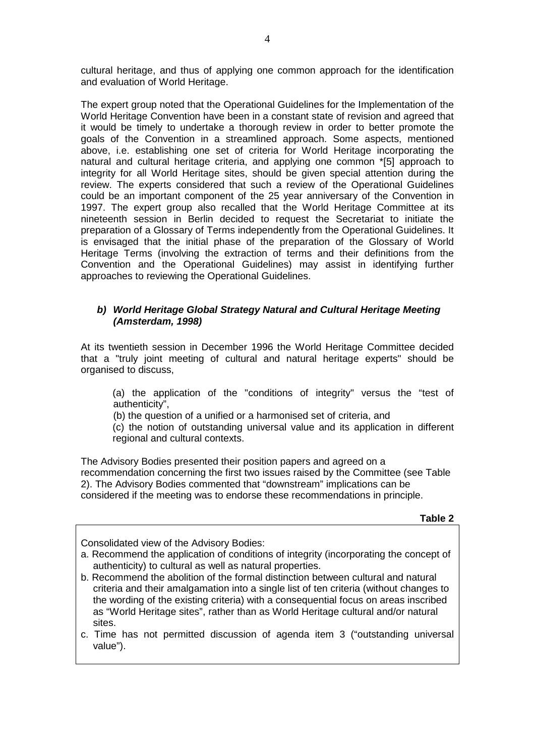cultural heritage, and thus of applying one common approach for the identification and evaluation of World Heritage.

The expert group noted that the Operational Guidelines for the Implementation of the World Heritage Convention have been in a constant state of revision and agreed that it would be timely to undertake a thorough review in order to better promote the goals of the Convention in a streamlined approach. Some aspects, mentioned above, i.e. establishing one set of criteria for World Heritage incorporating the natural and cultural heritage criteria, and applying one common \*[5] approach to integrity for all World Heritage sites, should be given special attention during the review. The experts considered that such a review of the Operational Guidelines could be an important component of the 25 year anniversary of the Convention in 1997. The expert group also recalled that the World Heritage Committee at its nineteenth session in Berlin decided to request the Secretariat to initiate the preparation of a Glossary of Terms independently from the Operational Guidelines. It is envisaged that the initial phase of the preparation of the Glossary of World Heritage Terms (involving the extraction of terms and their definitions from the Convention and the Operational Guidelines) may assist in identifying further approaches to reviewing the Operational Guidelines.

## *b) World Heritage Global Strategy Natural and Cultural Heritage Meeting (Amsterdam, 1998)*

At its twentieth session in December 1996 the World Heritage Committee decided that a "truly joint meeting of cultural and natural heritage experts" should be organised to discuss,

(a) the application of the "conditions of integrity" versus the "test of authenticity",

(b) the question of a unified or a harmonised set of criteria, and

(c) the notion of outstanding universal value and its application in different regional and cultural contexts.

The Advisory Bodies presented their position papers and agreed on a recommendation concerning the first two issues raised by the Committee (see Table 2). The Advisory Bodies commented that "downstream" implications can be considered if the meeting was to endorse these recommendations in principle.

**Table 2**

Consolidated view of the Advisory Bodies:

- a. Recommend the application of conditions of integrity (incorporating the concept of authenticity) to cultural as well as natural properties.
- b. Recommend the abolition of the formal distinction between cultural and natural criteria and their amalgamation into a single list of ten criteria (without changes to the wording of the existing criteria) with a consequential focus on areas inscribed as "World Heritage sites", rather than as World Heritage cultural and/or natural sites.
- c. Time has not permitted discussion of agenda item 3 ("outstanding universal value").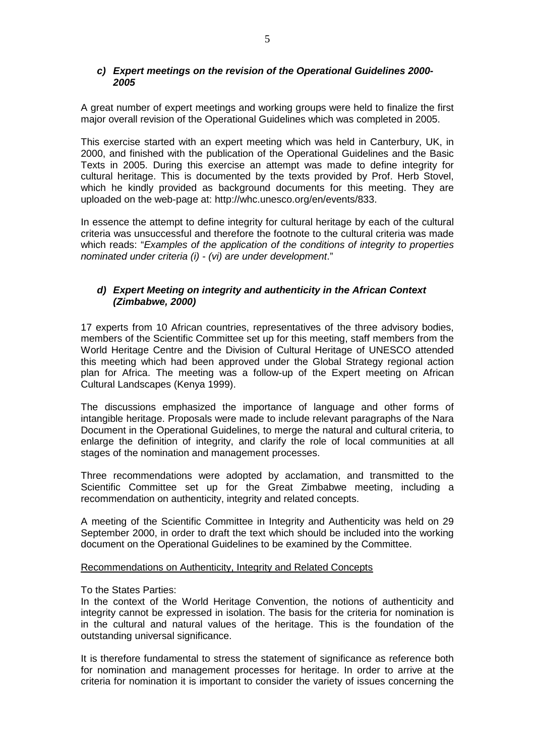### *c) Expert meetings on the revision of the Operational Guidelines 2000- 2005*

A great number of expert meetings and working groups were held to finalize the first major overall revision of the Operational Guidelines which was completed in 2005.

This exercise started with an expert meeting which was held in Canterbury, UK, in 2000, and finished with the publication of the Operational Guidelines and the Basic Texts in 2005. During this exercise an attempt was made to define integrity for cultural heritage. This is documented by the texts provided by Prof. Herb Stovel, which he kindly provided as background documents for this meeting. They are uploaded on the web-page at: [http://whc.unesco.org/en/events/833.](http://whc.unesco.org/en/events/833)

In essence the attempt to define integrity for cultural heritage by each of the cultural criteria was unsuccessful and therefore the footnote to the cultural criteria was made which reads: "*Examples of the application of the conditions of integrity to properties nominated under criteria (i) - (vi) are under development*."

## *d) Expert Meeting on integrity and authenticity in the African Context (Zimbabwe, 2000)*

17 experts from 10 African countries, representatives of the three advisory bodies, members of the Scientific Committee set up for this meeting, staff members from the World Heritage Centre and the Division of Cultural Heritage of UNESCO attended this meeting which had been approved under the Global Strategy regional action plan for Africa. The meeting was a follow-up of the Expert meeting on African Cultural Landscapes (Kenya 1999).

The discussions emphasized the importance of language and other forms of intangible heritage. Proposals were made to include relevant paragraphs of the Nara Document in the Operational Guidelines, to merge the natural and cultural criteria, to enlarge the definition of integrity, and clarify the role of local communities at all stages of the nomination and management processes.

Three recommendations were adopted by acclamation, and transmitted to the Scientific Committee set up for the Great Zimbabwe meeting, including a recommendation on authenticity, integrity and related concepts.

A meeting of the Scientific Committee in Integrity and Authenticity was held on 29 September 2000, in order to draft the text which should be included into the working document on the Operational Guidelines to be examined by the Committee.

#### Recommendations on Authenticity, Integrity and Related Concepts

To the States Parties:

In the context of the World Heritage Convention, the notions of authenticity and integrity cannot be expressed in isolation. The basis for the criteria for nomination is in the cultural and natural values of the heritage. This is the foundation of the outstanding universal significance.

It is therefore fundamental to stress the statement of significance as reference both for nomination and management processes for heritage. In order to arrive at the criteria for nomination it is important to consider the variety of issues concerning the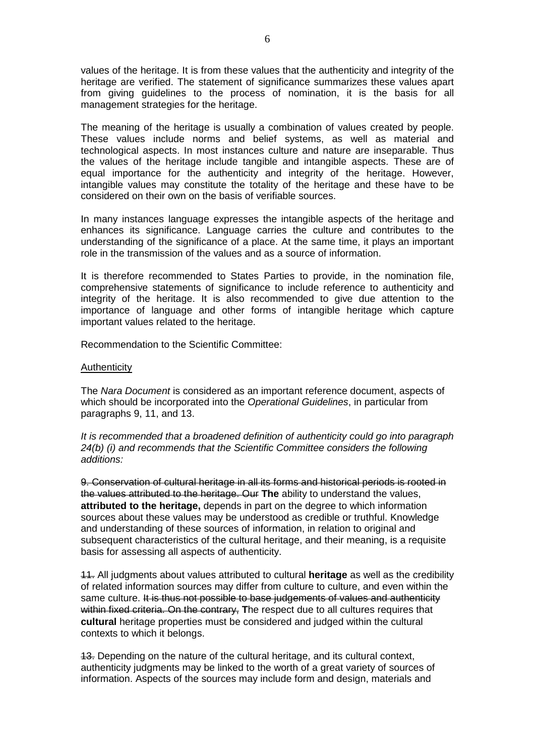values of the heritage. It is from these values that the authenticity and integrity of the heritage are verified. The statement of significance summarizes these values apart from giving guidelines to the process of nomination, it is the basis for all management strategies for the heritage.

The meaning of the heritage is usually a combination of values created by people. These values include norms and belief systems, as well as material and technological aspects. In most instances culture and nature are inseparable. Thus the values of the heritage include tangible and intangible aspects. These are of equal importance for the authenticity and integrity of the heritage. However, intangible values may constitute the totality of the heritage and these have to be considered on their own on the basis of verifiable sources.

In many instances language expresses the intangible aspects of the heritage and enhances its significance. Language carries the culture and contributes to the understanding of the significance of a place. At the same time, it plays an important role in the transmission of the values and as a source of information.

It is therefore recommended to States Parties to provide, in the nomination file, comprehensive statements of significance to include reference to authenticity and integrity of the heritage. It is also recommended to give due attention to the importance of language and other forms of intangible heritage which capture important values related to the heritage.

Recommendation to the Scientific Committee:

#### **Authenticity**

The *Nara Document* is considered as an important reference document, aspects of which should be incorporated into the *Operational Guidelines*, in particular from paragraphs 9, 11, and 13.

*It is recommended that a broadened definition of authenticity could go into paragraph 24(b) (i) and recommends that the Scientific Committee considers the following additions:*

9. Conservation of cultural heritage in all its forms and historical periods is rooted in the values attributed to the heritage. Our **The** ability to understand the values, **attributed to the heritage,** depends in part on the degree to which information sources about these values may be understood as credible or truthful. Knowledge and understanding of these sources of information, in relation to original and subsequent characteristics of the cultural heritage, and their meaning, is a requisite basis for assessing all aspects of authenticity.

11. All judgments about values attributed to cultural **heritage** as well as the credibility of related information sources may differ from culture to culture, and even within the same culture. It is thus not possible to base judgements of values and authenticity within fixed criteria. On the contrary, The respect due to all cultures requires that **cultural** heritage properties must be considered and judged within the cultural contexts to which it belongs.

13. Depending on the nature of the cultural heritage, and its cultural context, authenticity judgments may be linked to the worth of a great variety of sources of information. Aspects of the sources may include form and design, materials and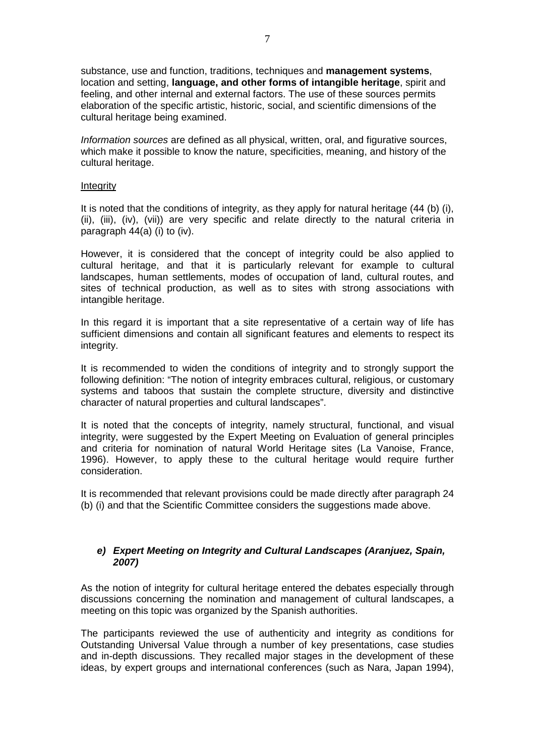substance, use and function, traditions, techniques and **management systems**, location and setting, **language, and other forms of intangible heritage**, spirit and feeling, and other internal and external factors. The use of these sources permits elaboration of the specific artistic, historic, social, and scientific dimensions of the cultural heritage being examined.

*Information sources* are defined as all physical, written, oral, and figurative sources, which make it possible to know the nature, specificities, meaning, and history of the cultural heritage.

#### **Integrity**

It is noted that the conditions of integrity, as they apply for natural heritage (44 (b) (i), (ii), (iii), (iv), (vii)) are very specific and relate directly to the natural criteria in paragraph  $44(a)$  (i) to (iv).

However, it is considered that the concept of integrity could be also applied to cultural heritage, and that it is particularly relevant for example to cultural landscapes, human settlements, modes of occupation of land, cultural routes, and sites of technical production, as well as to sites with strong associations with intangible heritage.

In this regard it is important that a site representative of a certain way of life has sufficient dimensions and contain all significant features and elements to respect its integrity.

It is recommended to widen the conditions of integrity and to strongly support the following definition: "The notion of integrity embraces cultural, religious, or customary systems and taboos that sustain the complete structure, diversity and distinctive character of natural properties and cultural landscapes".

It is noted that the concepts of integrity, namely structural, functional, and visual integrity, were suggested by the Expert Meeting on Evaluation of general principles and criteria for nomination of natural World Heritage sites (La Vanoise, France, 1996). However, to apply these to the cultural heritage would require further consideration.

It is recommended that relevant provisions could be made directly after paragraph 24 (b) (i) and that the Scientific Committee considers the suggestions made above.

#### *e) Expert Meeting on Integrity and Cultural Landscapes (Aranjuez, Spain, 2007)*

As the notion of integrity for cultural heritage entered the debates especially through discussions concerning the nomination and management of cultural landscapes, a meeting on this topic was organized by the Spanish authorities.

The participants reviewed the use of authenticity and integrity as conditions for Outstanding Universal Value through a number of key presentations, case studies and in-depth discussions. They recalled major stages in the development of these ideas, by expert groups and international conferences (such as Nara, Japan 1994),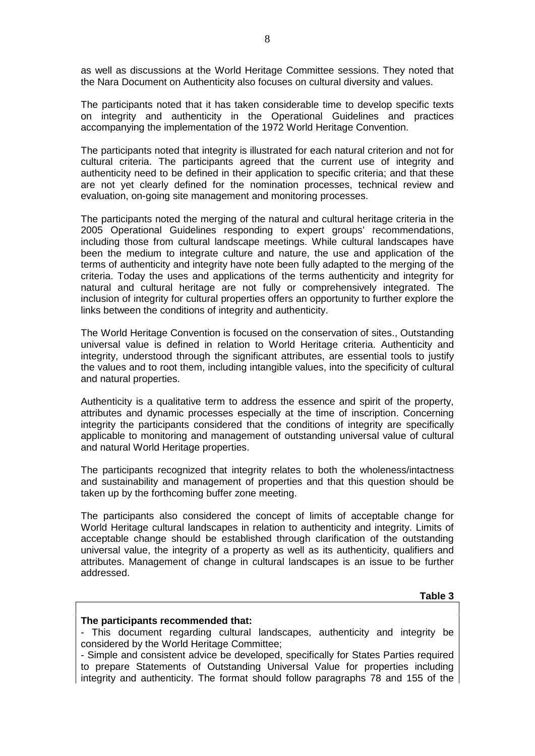as well as discussions at the World Heritage Committee sessions. They noted that the Nara Document on Authenticity also focuses on cultural diversity and values.

The participants noted that it has taken considerable time to develop specific texts on integrity and authenticity in the Operational Guidelines and practices accompanying the implementation of the 1972 World Heritage Convention.

The participants noted that integrity is illustrated for each natural criterion and not for cultural criteria. The participants agreed that the current use of integrity and authenticity need to be defined in their application to specific criteria; and that these are not yet clearly defined for the nomination processes, technical review and evaluation, on-going site management and monitoring processes.

The participants noted the merging of the natural and cultural heritage criteria in the 2005 Operational Guidelines responding to expert groups' recommendations, including those from cultural landscape meetings. While cultural landscapes have been the medium to integrate culture and nature, the use and application of the terms of authenticity and integrity have note been fully adapted to the merging of the criteria. Today the uses and applications of the terms authenticity and integrity for natural and cultural heritage are not fully or comprehensively integrated. The inclusion of integrity for cultural properties offers an opportunity to further explore the links between the conditions of integrity and authenticity.

The World Heritage Convention is focused on the conservation of sites., Outstanding universal value is defined in relation to World Heritage criteria. Authenticity and integrity, understood through the significant attributes, are essential tools to justify the values and to root them, including intangible values, into the specificity of cultural and natural properties.

Authenticity is a qualitative term to address the essence and spirit of the property, attributes and dynamic processes especially at the time of inscription. Concerning integrity the participants considered that the conditions of integrity are specifically applicable to monitoring and management of outstanding universal value of cultural and natural World Heritage properties.

The participants recognized that integrity relates to both the wholeness/intactness and sustainability and management of properties and that this question should be taken up by the forthcoming buffer zone meeting.

The participants also considered the concept of limits of acceptable change for World Heritage cultural landscapes in relation to authenticity and integrity. Limits of acceptable change should be established through clarification of the outstanding universal value, the integrity of a property as well as its authenticity, qualifiers and attributes. Management of change in cultural landscapes is an issue to be further addressed.

**Table 3**

#### **The participants recommended that:**

- This document regarding cultural landscapes, authenticity and integrity be considered by the World Heritage Committee;

<sup>-</sup> Simple and consistent advice be developed, specifically for States Parties required to prepare Statements of Outstanding Universal Value for properties including integrity and authenticity. The format should follow paragraphs 78 and 155 of the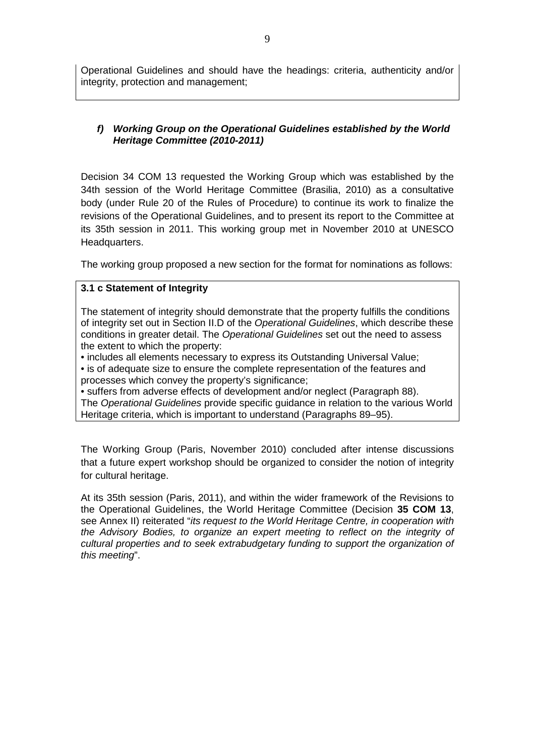Operational Guidelines and should have the headings: criteria, authenticity and/or integrity, protection and management;

## *f) Working Group on the Operational Guidelines established by the World Heritage Committee (2010-2011)*

Decision 34 COM 13 requested the Working Group which was established by the 34th session of the World Heritage Committee (Brasilia, 2010) as a consultative body (under Rule 20 of the Rules of Procedure) to continue its work to finalize the revisions of the Operational Guidelines, and to present its report to the Committee at its 35th session in 2011. This working group met in November 2010 at UNESCO Headquarters.

The working group proposed a new section for the format for nominations as follows:

## **3.1 c Statement of Integrity**

The statement of integrity should demonstrate that the property fulfills the conditions of integrity set out in Section II.D of the *Operational Guidelines*, which describe these conditions in greater detail. The *Operational Guidelines* set out the need to assess the extent to which the property:

• includes all elements necessary to express its Outstanding Universal Value;

• is of adequate size to ensure the complete representation of the features and processes which convey the property's significance;

• suffers from adverse effects of development and/or neglect (Paragraph 88). The *Operational Guidelines* provide specific guidance in relation to the various World Heritage criteria, which is important to understand (Paragraphs 89–95).

The Working Group (Paris, November 2010) concluded after intense discussions that a future expert workshop should be organized to consider the notion of integrity for cultural heritage.

At its 35th session (Paris, 2011), and within the wider framework of the Revisions to the Operational Guidelines, the World Heritage Committee (Decision **35 COM 13**, see Annex II) reiterated "*its request to the World Heritage Centre, in cooperation with the Advisory Bodies, to organize an expert meeting to reflect on the integrity of cultural properties and to seek extrabudgetary funding to support the organization of this meeting*".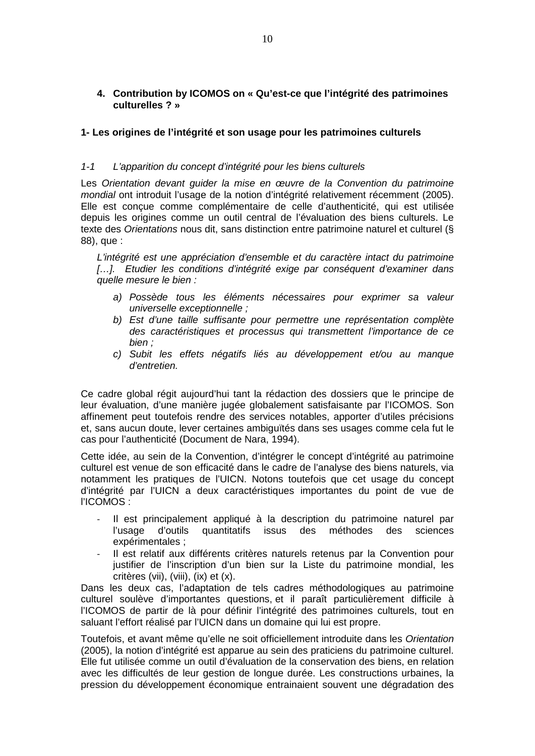**4. Contribution by ICOMOS on « Qu'est-ce que l'intégrité des patrimoines culturelles ? »**

## **1- Les origines de l'intégrité et son usage pour les patrimoines culturels**

#### *1-1 L'apparition du concept d'intégrité pour les biens culturels*

Les Orientation devant guider la mise en œuvre de la Convention du patrimoine *mondial* ont introduit l'usage de la notion d'intégrité relativement récemment (2005). Elle est conçue comme complémentaire de celle d'authenticité, qui est utilisée depuis les origines comme un outil central de l'évaluation des biens culturels. Le texte des *Orientations* nous dit, sans distinction entre patrimoine naturel et culturel (§ 88), que :

*L'intégrité est une appréciation d'ensemble et du caractère intact du patrimoine*  [...]. Etudier les conditions d'intégrité exige par conséquent d'examiner dans *quelle mesure le bien :*

- *a) Possède tous les éléments nécessaires pour exprimer sa valeur universelle exceptionnelle ;*
- *b) Est d'une taille suffisante pour permettre une représentation complète des caractéristiques et processus qui transmettent l'importance de ce bien ;*
- *c) Subit les effets négatifs liés au développement et/ou au manque d'entretien.*

Ce cadre global régit aujourd'hui tant la rédaction des dossiers que le principe de leur évaluation, d'une manière jugée globalement satisfaisante par l'ICOMOS. Son affinement peut toutefois rendre des services notables, apporter d'utiles précisions et, sans aucun doute, lever certaines ambiguïtés dans ses usages comme cela fut le cas pour l'authenticité (Document de Nara, 1994).

Cette idée, au sein de la Convention, d'intégrer le concept d'intégrité au patrimoine culturel est venue de son efficacité dans le cadre de l'analyse des biens naturels, via notamment les pratiques de l'UICN. Notons toutefois que cet usage du concept d'intégrité par l'UICN a deux caractéristiques importantes du point de vue de l'ICOMOS :

- Il est principalement appliqué à la description du patrimoine naturel par l'usage d'outils quantitatifs issus des méthodes des sciences expérimentales ;
- Il est relatif aux différents critères naturels retenus par la Convention pour justifier de l'inscription d'un bien sur la Liste du patrimoine mondial, les critères (vii), (viii), (ix) et (x).

Dans les deux cas, l'adaptation de tels cadres méthodologiques au patrimoine culturel soulève d'importantes questions, et il paraît particulièrement difficile à l'ICOMOS de partir de là pour définir l'intégrité des patrimoines culturels, tout en saluant l'effort réalisé par l'UICN dans un domaine qui lui est propre.

Toutefois, et avant même qu'elle ne soit officiellement introduite dans les *Orientation* (2005), la notion d'intégrité est apparue au sein des praticiens du patrimoine culturel. Elle fut utilisée comme un outil d'évaluation de la conservation des biens, en relation avec les difficultés de leur gestion de longue durée. Les constructions urbaines, la pression du développement économique entrainaient souvent une dégradation des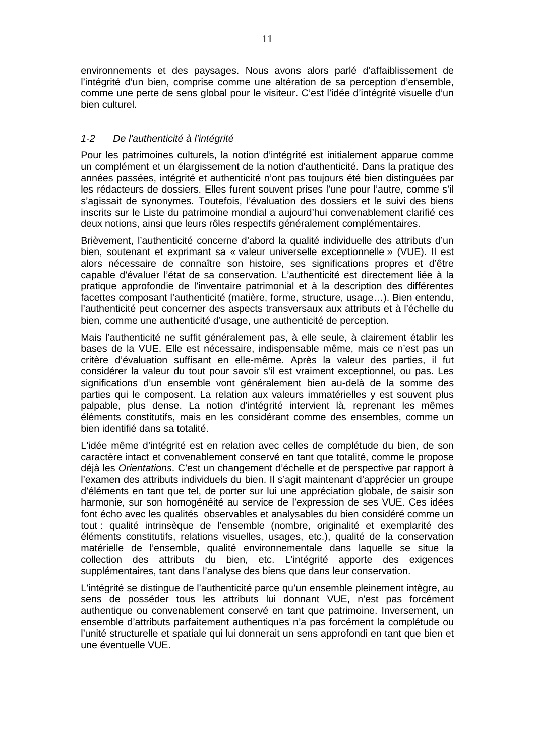environnements et des paysages. Nous avons alors parlé d'affaiblissement de l'intégrité d'un bien, comprise comme une altération de sa perception d'ensemble, comme une perte de sens global pour le visiteur. C'est l'idée d'intégrité visuelle d'un bien culturel.

## *1-2 De l'authenticité à l'intégrité*

Pour les patrimoines culturels, la notion d'intégrité est initialement apparue comme un complément et un élargissement de la notion d'authenticité. Dans la pratique des années passées, intégrité et authenticité n'ont pas toujours été bien distinguées par les rédacteurs de dossiers. Elles furent souvent prises l'une pour l'autre, comme s'il s'agissait de synonymes. Toutefois, l'évaluation des dossiers et le suivi des biens inscrits sur le Liste du patrimoine mondial a aujourd'hui convenablement clarifié ces deux notions, ainsi que leurs rôles respectifs généralement complémentaires.

Brièvement, l'authenticité concerne d'abord la qualité individuelle des attributs d'un bien, soutenant et exprimant sa « valeur universelle exceptionnelle » (VUE). Il est alors nécessaire de connaître son histoire, ses significations propres et d'être capable d'évaluer l'état de sa conservation. L'authenticité est directement liée à la pratique approfondie de l'inventaire patrimonial et à la description des différentes facettes composant l'authenticité (matière, forme, structure, usage…). Bien entendu, l'authenticité peut concerner des aspects transversaux aux attributs et à l'échelle du bien, comme une authenticité d'usage, une authenticité de perception.

Mais l'authenticité ne suffit généralement pas, à elle seule, à clairement établir les bases de la VUE. Elle est nécessaire, indispensable même, mais ce n'est pas un critère d'évaluation suffisant en elle-même. Après la valeur des parties, il fut considérer la valeur du tout pour savoir s'il est vraiment exceptionnel, ou pas. Les significations d'un ensemble vont généralement bien au-delà de la somme des parties qui le composent. La relation aux valeurs immatérielles y est souvent plus palpable, plus dense. La notion d'intégrité intervient là, reprenant les mêmes éléments constitutifs, mais en les considérant comme des ensembles, comme un bien identifié dans sa totalité.

L'idée même d'intégrité est en relation avec celles de complétude du bien, de son caractère intact et convenablement conservé en tant que totalité, comme le propose déjà les *Orientations*. C'est un changement d'échelle et de perspective par rapport à l'examen des attributs individuels du bien. Il s'agit maintenant d'apprécier un groupe d'éléments en tant que tel, de porter sur lui une appréciation globale, de saisir son harmonie, sur son homogénéité au service de l'expression de ses VUE. Ces idées font écho avec les qualités observables et analysables du bien considéré comme un tout : qualité intrinsèque de l'ensemble (nombre, originalité et exemplarité des éléments constitutifs, relations visuelles, usages, etc.), qualité de la conservation matérielle de l'ensemble, qualité environnementale dans laquelle se situe la collection des attributs du bien, etc. L'intégrité apporte des exigences supplémentaires, tant dans l'analyse des biens que dans leur conservation.

L'intégrité se distingue de l'authenticité parce qu'un ensemble pleinement intègre, au sens de posséder tous les attributs lui donnant VUE, n'est pas forcément authentique ou convenablement conservé en tant que patrimoine. Inversement, un ensemble d'attributs parfaitement authentiques n'a pas forcément la complétude ou l'unité structurelle et spatiale qui lui donnerait un sens approfondi en tant que bien et une éventuelle VUE.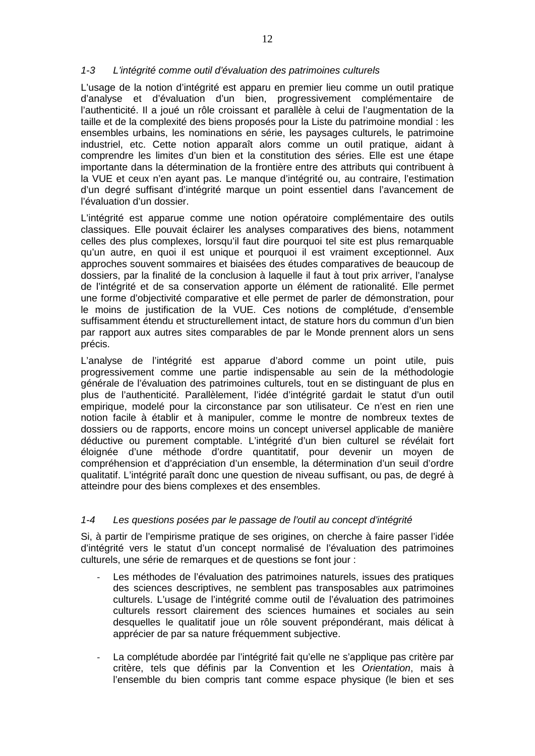#### *1-3 L'intégrité comme outil d'évaluation des patrimoines culturels*

L'usage de la notion d'intégrité est apparu en premier lieu comme un outil pratique d'analyse et d'évaluation d'un bien, progressivement complémentaire de l'authenticité. Il a joué un rôle croissant et parallèle à celui de l'augmentation de la taille et de la complexité des biens proposés pour la Liste du patrimoine mondial : les ensembles urbains, les nominations en série, les paysages culturels, le patrimoine industriel, etc. Cette notion apparaît alors comme un outil pratique, aidant à comprendre les limites d'un bien et la constitution des séries. Elle est une étape importante dans la détermination de la frontière entre des attributs qui contribuent à la VUE et ceux n'en ayant pas. Le manque d'intégrité ou, au contraire, l'estimation d'un degré suffisant d'intégrité marque un point essentiel dans l'avancement de l'évaluation d'un dossier.

L'intégrité est apparue comme une notion opératoire complémentaire des outils classiques. Elle pouvait éclairer les analyses comparatives des biens, notamment celles des plus complexes, lorsqu'il faut dire pourquoi tel site est plus remarquable qu'un autre, en quoi il est unique et pourquoi il est vraiment exceptionnel. Aux approches souvent sommaires et biaisées des études comparatives de beaucoup de dossiers, par la finalité de la conclusion à laquelle il faut à tout prix arriver, l'analyse de l'intégrité et de sa conservation apporte un élément de rationalité. Elle permet une forme d'objectivité comparative et elle permet de parler de démonstration, pour le moins de justification de la VUE. Ces notions de complétude, d'ensemble suffisamment étendu et structurellement intact, de stature hors du commun d'un bien par rapport aux autres sites comparables de par le Monde prennent alors un sens précis.

L'analyse de l'intégrité est apparue d'abord comme un point utile, puis progressivement comme une partie indispensable au sein de la méthodologie générale de l'évaluation des patrimoines culturels, tout en se distinguant de plus en plus de l'authenticité. Parallèlement, l'idée d'intégrité gardait le statut d'un outil empirique, modelé pour la circonstance par son utilisateur. Ce n'est en rien une notion facile à établir et à manipuler, comme le montre de nombreux textes de dossiers ou de rapports, encore moins un concept universel applicable de manière déductive ou purement comptable. L'intégrité d'un bien culturel se révélait fort éloignée d'une méthode d'ordre quantitatif, pour devenir un moyen de compréhension et d'appréciation d'un ensemble, la détermination d'un seuil d'ordre qualitatif. L'intégrité paraît donc une question de niveau suffisant, ou pas, de degré à atteindre pour des biens complexes et des ensembles.

#### *1-4 Les questions posées par le passage de l'outil au concept d'intégrité*

Si, à partir de l'empirisme pratique de ses origines, on cherche à faire passer l'idée d'intégrité vers le statut d'un concept normalisé de l'évaluation des patrimoines culturels, une série de remarques et de questions se font jour :

- Les méthodes de l'évaluation des patrimoines naturels, issues des pratiques des sciences descriptives, ne semblent pas transposables aux patrimoines culturels. L'usage de l'intégrité comme outil de l'évaluation des patrimoines culturels ressort clairement des sciences humaines et sociales au sein desquelles le qualitatif joue un rôle souvent prépondérant, mais délicat à apprécier de par sa nature fréquemment subjective.
- La complétude abordée par l'intégrité fait qu'elle ne s'applique pas critère par critère, tels que définis par la Convention et les *Orientation*, mais à l'ensemble du bien compris tant comme espace physique (le bien et ses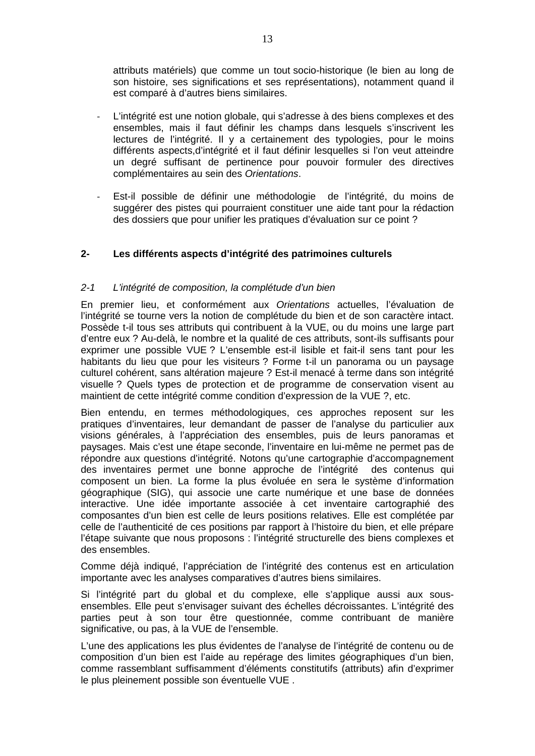attributs matériels) que comme un tout socio-historique (le bien au long de son histoire, ses significations et ses représentations), notamment quand il est comparé à d'autres biens similaires.

- L'intégrité est une notion globale, qui s'adresse à des biens complexes et des ensembles, mais il faut définir les champs dans lesquels s'inscrivent les lectures de l'intégrité. Il y a certainement des typologies, pour le moins différents aspects,d'intégrité et il faut définir lesquelles si l'on veut atteindre un degré suffisant de pertinence pour pouvoir formuler des directives complémentaires au sein des *Orientations*.
- Est-il possible de définir une méthodologie de l'intégrité, du moins de suggérer des pistes qui pourraient constituer une aide tant pour la rédaction des dossiers que pour unifier les pratiques d'évaluation sur ce point ?

## **2- Les différents aspects d'intégrité des patrimoines culturels**

#### *2-1 L'intégrité de composition, la complétude d'un bien*

En premier lieu, et conformément aux *Orientations* actuelles, l'évaluation de l'intégrité se tourne vers la notion de complétude du bien et de son caractère intact. Possède t-il tous ses attributs qui contribuent à la VUE, ou du moins une large part d'entre eux ? Au-delà, le nombre et la qualité de ces attributs, sont-ils suffisants pour exprimer une possible VUE ? L'ensemble est-il lisible et fait-il sens tant pour les habitants du lieu que pour les visiteurs ? Forme t-il un panorama ou un paysage culturel cohérent, sans altération majeure ? Est-il menacé à terme dans son intégrité visuelle ? Quels types de protection et de programme de conservation visent au maintient de cette intégrité comme condition d'expression de la VUE ?, etc.

Bien entendu, en termes méthodologiques, ces approches reposent sur les pratiques d'inventaires, leur demandant de passer de l'analyse du particulier aux visions générales, à l'appréciation des ensembles, puis de leurs panoramas et paysages. Mais c'est une étape seconde, l'inventaire en lui-même ne permet pas de répondre aux questions d'intégrité. Notons qu'une cartographie d'accompagnement des inventaires permet une bonne approche de l'intégrité des contenus qui composent un bien. La forme la plus évoluée en sera le système d'information géographique (SIG), qui associe une carte numérique et une base de données interactive. Une idée importante associée à cet inventaire cartographié des composantes d'un bien est celle de leurs positions relatives. Elle est complétée par celle de l'authenticité de ces positions par rapport à l'histoire du bien, et elle prépare l'étape suivante que nous proposons : l'intégrité structurelle des biens complexes et des ensembles.

Comme déjà indiqué, l'appréciation de l'intégrité des contenus est en articulation importante avec les analyses comparatives d'autres biens similaires.

Si l'intégrité part du global et du complexe, elle s'applique aussi aux sousensembles. Elle peut s'envisager suivant des échelles décroissantes. L'intégrité des parties peut à son tour être questionnée, comme contribuant de manière significative, ou pas, à la VUE de l'ensemble.

L'une des applications les plus évidentes de l'analyse de l'intégrité de contenu ou de composition d'un bien est l'aide au repérage des limites géographiques d'un bien, comme rassemblant suffisamment d'éléments constitutifs (attributs) afin d'exprimer le plus pleinement possible son éventuelle VUE .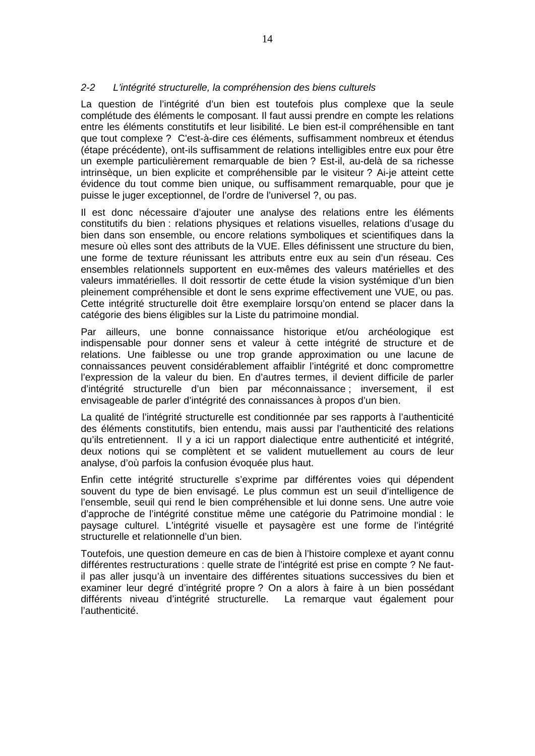## *2-2 L'intégrité structurelle, la compréhension des biens culturels*

La question de l'intégrité d'un bien est toutefois plus complexe que la seule complétude des éléments le composant. Il faut aussi prendre en compte les relations entre les éléments constitutifs et leur lisibilité. Le bien est-il compréhensible en tant que tout complexe ? C'est-à-dire ces éléments, suffisamment nombreux et étendus (étape précédente), ont-ils suffisamment de relations intelligibles entre eux pour être un exemple particulièrement remarquable de bien ? Est-il, au-delà de sa richesse intrinsèque, un bien explicite et compréhensible par le visiteur ? Ai-je atteint cette évidence du tout comme bien unique, ou suffisamment remarquable, pour que je puisse le juger exceptionnel, de l'ordre de l'universel ?, ou pas.

Il est donc nécessaire d'ajouter une analyse des relations entre les éléments constitutifs du bien : relations physiques et relations visuelles, relations d'usage du bien dans son ensemble, ou encore relations symboliques et scientifiques dans la mesure où elles sont des attributs de la VUE. Elles définissent une structure du bien, une forme de texture réunissant les attributs entre eux au sein d'un réseau. Ces ensembles relationnels supportent en eux-mêmes des valeurs matérielles et des valeurs immatérielles. Il doit ressortir de cette étude la vision systémique d'un bien pleinement compréhensible et dont le sens exprime effectivement une VUE, ou pas. Cette intégrité structurelle doit être exemplaire lorsqu'on entend se placer dans la catégorie des biens éligibles sur la Liste du patrimoine mondial.

Par ailleurs, une bonne connaissance historique et/ou archéologique est indispensable pour donner sens et valeur à cette intégrité de structure et de relations. Une faiblesse ou une trop grande approximation ou une lacune de connaissances peuvent considérablement affaiblir l'intégrité et donc compromettre l'expression de la valeur du bien. En d'autres termes, il devient difficile de parler d'intégrité structurelle d'un bien par méconnaissance ; inversement, il est envisageable de parler d'intégrité des connaissances à propos d'un bien.

La qualité de l'intégrité structurelle est conditionnée par ses rapports à l'authenticité des éléments constitutifs, bien entendu, mais aussi par l'authenticité des relations qu'ils entretiennent. Il y a ici un rapport dialectique entre authenticité et intégrité, deux notions qui se complètent et se valident mutuellement au cours de leur analyse, d'où parfois la confusion évoquée plus haut.

Enfin cette intégrité structurelle s'exprime par différentes voies qui dépendent souvent du type de bien envisagé. Le plus commun est un seuil d'intelligence de l'ensemble, seuil qui rend le bien compréhensible et lui donne sens. Une autre voie d'approche de l'intégrité constitue même une catégorie du Patrimoine mondial : le paysage culturel. L'intégrité visuelle et paysagère est une forme de l'intégrité structurelle et relationnelle d'un bien.

Toutefois, une question demeure en cas de bien à l'histoire complexe et ayant connu différentes restructurations : quelle strate de l'intégrité est prise en compte ? Ne fautil pas aller jusqu'à un inventaire des différentes situations successives du bien et examiner leur degré d'intégrité propre ? On a alors à faire à un bien possédant différents niveau d'intégrité structurelle. La remarque vaut également pour l'authenticité.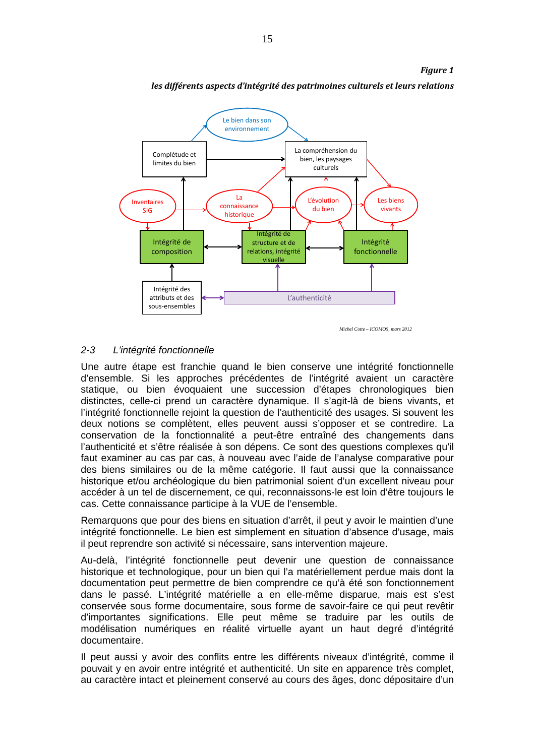

*les différents aspects d'intégrité des patrimoines culturels et leurs relations*

*Michel Cotte – ICOMOS, mars 2012*

*Figure 1*

# *2-3 L'intégrité fonctionnelle*

Une autre étape est franchie quand le bien conserve une intégrité fonctionnelle d'ensemble. Si les approches précédentes de l'intégrité avaient un caractère statique, ou bien évoquaient une succession d'étapes chronologiques bien distinctes, celle-ci prend un caractère dynamique. Il s'agit-là de biens vivants, et l'intégrité fonctionnelle rejoint la question de l'authenticité des usages. Si souvent les deux notions se complètent, elles peuvent aussi s'opposer et se contredire. La conservation de la fonctionnalité a peut-être entraîné des changements dans l'authenticité et s'être réalisée à son dépens. Ce sont des questions complexes qu'il faut examiner au cas par cas, à nouveau avec l'aide de l'analyse comparative pour des biens similaires ou de la même catégorie. Il faut aussi que la connaissance historique et/ou archéologique du bien patrimonial soient d'un excellent niveau pour accéder à un tel de discernement, ce qui, reconnaissons-le est loin d'être toujours le cas. Cette connaissance participe à la VUE de l'ensemble.

Remarquons que pour des biens en situation d'arrêt, il peut y avoir le maintien d'une intégrité fonctionnelle. Le bien est simplement en situation d'absence d'usage, mais il peut reprendre son activité si nécessaire, sans intervention majeure.

Au-delà, l'intégrité fonctionnelle peut devenir une question de connaissance historique et technologique, pour un bien qui l'a matériellement perdue mais dont la documentation peut permettre de bien comprendre ce qu'à été son fonctionnement dans le passé. L'intégrité matérielle a en elle-même disparue, mais est s'est conservée sous forme documentaire, sous forme de savoir-faire ce qui peut revêtir d'importantes significations. Elle peut même se traduire par les outils de modélisation numériques en réalité virtuelle ayant un haut degré d'intégrité documentaire.

Il peut aussi y avoir des conflits entre les différents niveaux d'intégrité, comme il pouvait y en avoir entre intégrité et authenticité. Un site en apparence très complet, au caractère intact et pleinement conservé au cours des âges, donc dépositaire d'un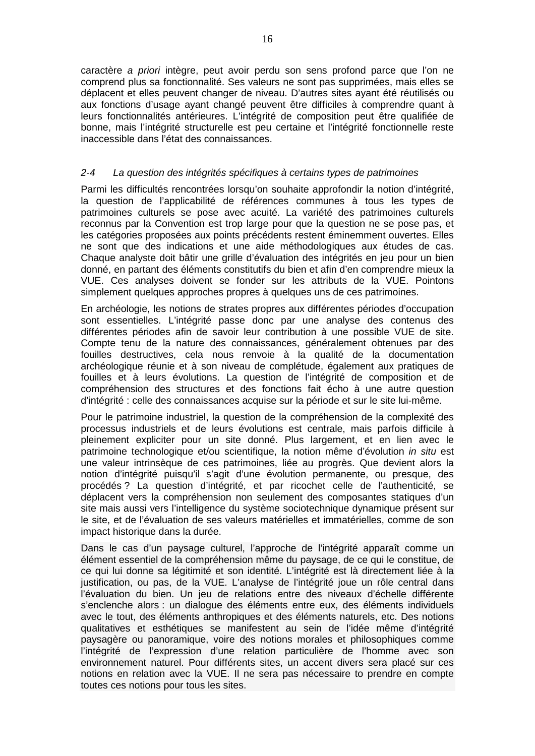caractère *a priori* intègre, peut avoir perdu son sens profond parce que l'on ne comprend plus sa fonctionnalité. Ses valeurs ne sont pas supprimées, mais elles se déplacent et elles peuvent changer de niveau. D'autres sites ayant été réutilisés ou aux fonctions d'usage ayant changé peuvent être difficiles à comprendre quant à leurs fonctionnalités antérieures. L'intégrité de composition peut être qualifiée de bonne, mais l'intégrité structurelle est peu certaine et l'intégrité fonctionnelle reste inaccessible dans l'état des connaissances.

#### *2-4 La question des intégrités spécifiques à certains types de patrimoines*

Parmi les difficultés rencontrées lorsqu'on souhaite approfondir la notion d'intégrité, la question de l'applicabilité de références communes à tous les types de patrimoines culturels se pose avec acuité. La variété des patrimoines culturels reconnus par la Convention est trop large pour que la question ne se pose pas, et les catégories proposées aux points précédents restent éminemment ouvertes. Elles ne sont que des indications et une aide méthodologiques aux études de cas. Chaque analyste doit bâtir une grille d'évaluation des intégrités en jeu pour un bien donné, en partant des éléments constitutifs du bien et afin d'en comprendre mieux la VUE. Ces analyses doivent se fonder sur les attributs de la VUE. Pointons simplement quelques approches propres à quelques uns de ces patrimoines.

En archéologie, les notions de strates propres aux différentes périodes d'occupation sont essentielles. L'intégrité passe donc par une analyse des contenus des différentes périodes afin de savoir leur contribution à une possible VUE de site. Compte tenu de la nature des connaissances, généralement obtenues par des fouilles destructives, cela nous renvoie à la qualité de la documentation archéologique réunie et à son niveau de complétude, également aux pratiques de fouilles et à leurs évolutions. La question de l'intégrité de composition et de compréhension des structures et des fonctions fait écho à une autre question d'intégrité : celle des connaissances acquise sur la période et sur le site lui-même.

Pour le patrimoine industriel, la question de la compréhension de la complexité des processus industriels et de leurs évolutions est centrale, mais parfois difficile à pleinement expliciter pour un site donné. Plus largement, et en lien avec le patrimoine technologique et/ou scientifique, la notion même d'évolution *in situ* est une valeur intrinsèque de ces patrimoines, liée au progrès. Que devient alors la notion d'intégrité puisqu'il s'agit d'une évolution permanente, ou presque, des procédés ? La question d'intégrité, et par ricochet celle de l'authenticité, se déplacent vers la compréhension non seulement des composantes statiques d'un site mais aussi vers l'intelligence du système sociotechnique dynamique présent sur le site, et de l'évaluation de ses valeurs matérielles et immatérielles, comme de son impact historique dans la durée.

Dans le cas d'un paysage culturel, l'approche de l'intégrité apparaît comme un élément essentiel de la compréhension même du paysage, de ce qui le constitue, de ce qui lui donne sa légitimité et son identité. L'intégrité est là directement liée à la justification, ou pas, de la VUE. L'analyse de l'intégrité joue un rôle central dans l'évaluation du bien. Un jeu de relations entre des niveaux d'échelle différente s'enclenche alors : un dialogue des éléments entre eux, des éléments individuels avec le tout, des éléments anthropiques et des éléments naturels, etc. Des notions qualitatives et esthétiques se manifestent au sein de l'idée même d'intégrité paysagère ou panoramique, voire des notions morales et philosophiques comme l'intégrité de l'expression d'une relation particulière de l'homme avec son environnement naturel. Pour différents sites, un accent divers sera placé sur ces notions en relation avec la VUE. Il ne sera pas nécessaire to prendre en compte toutes ces notions pour tous les sites.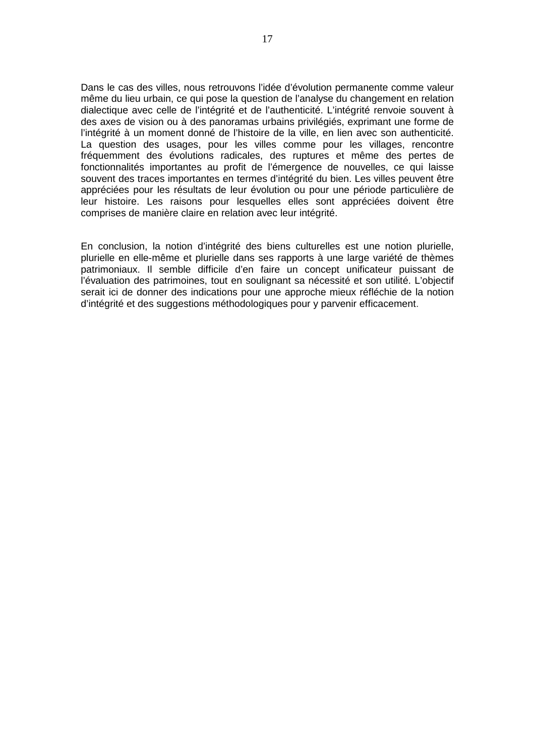Dans le cas des villes, nous retrouvons l'idée d'évolution permanente comme valeur même du lieu urbain, ce qui pose la question de l'analyse du changement en relation dialectique avec celle de l'intégrité et de l'authenticité. L'intégrité renvoie souvent à des axes de vision ou à des panoramas urbains privilégiés, exprimant une forme de l'intégrité à un moment donné de l'histoire de la ville, en lien avec son authenticité. La question des usages, pour les villes comme pour les villages, rencontre fréquemment des évolutions radicales, des ruptures et même des pertes de fonctionnalités importantes au profit de l'émergence de nouvelles, ce qui laisse souvent des traces importantes en termes d'intégrité du bien. Les villes peuvent être appréciées pour les résultats de leur évolution ou pour une période particulière de leur histoire. Les raisons pour lesquelles elles sont appréciées doivent être comprises de manière claire en relation avec leur intégrité.

En conclusion, la notion d'intégrité des biens culturelles est une notion plurielle, plurielle en elle-même et plurielle dans ses rapports à une large variété de thèmes patrimoniaux. Il semble difficile d'en faire un concept unificateur puissant de l'évaluation des patrimoines, tout en soulignant sa nécessité et son utilité. L'objectif serait ici de donner des indications pour une approche mieux réfléchie de la notion d'intégrité et des suggestions méthodologiques pour y parvenir efficacement.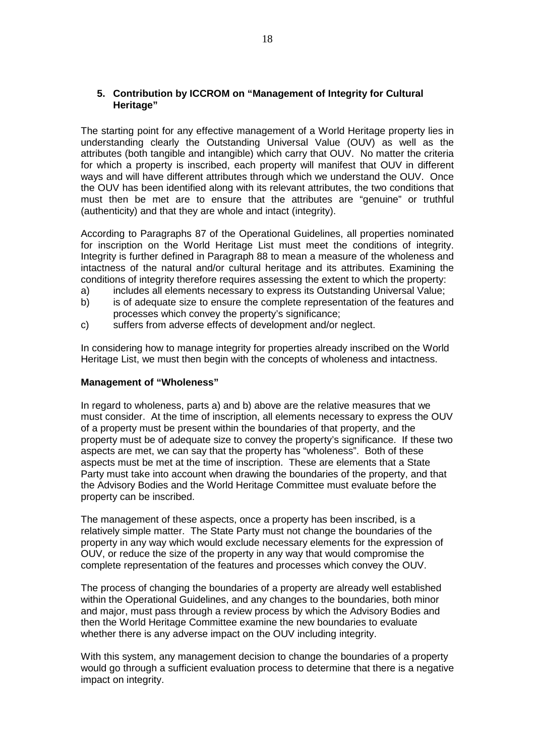## **5. Contribution by ICCROM on "Management of Integrity for Cultural Heritage"**

The starting point for any effective management of a World Heritage property lies in understanding clearly the Outstanding Universal Value (OUV) as well as the attributes (both tangible and intangible) which carry that OUV. No matter the criteria for which a property is inscribed, each property will manifest that OUV in different ways and will have different attributes through which we understand the OUV. Once the OUV has been identified along with its relevant attributes, the two conditions that must then be met are to ensure that the attributes are "genuine" or truthful (authenticity) and that they are whole and intact (integrity).

According to Paragraphs 87 of the Operational Guidelines, all properties nominated for inscription on the World Heritage List must meet the conditions of integrity. Integrity is further defined in Paragraph 88 to mean a measure of the wholeness and intactness of the natural and/or cultural heritage and its attributes. Examining the conditions of integrity therefore requires assessing the extent to which the property:

- a) includes all elements necessary to express its Outstanding Universal Value;
- b) is of adequate size to ensure the complete representation of the features and processes which convey the property's significance;
- c) suffers from adverse effects of development and/or neglect.

In considering how to manage integrity for properties already inscribed on the World Heritage List, we must then begin with the concepts of wholeness and intactness.

#### **Management of "Wholeness"**

In regard to wholeness, parts a) and b) above are the relative measures that we must consider. At the time of inscription, all elements necessary to express the OUV of a property must be present within the boundaries of that property, and the property must be of adequate size to convey the property's significance. If these two aspects are met, we can say that the property has "wholeness". Both of these aspects must be met at the time of inscription. These are elements that a State Party must take into account when drawing the boundaries of the property, and that the Advisory Bodies and the World Heritage Committee must evaluate before the property can be inscribed.

The management of these aspects, once a property has been inscribed, is a relatively simple matter. The State Party must not change the boundaries of the property in any way which would exclude necessary elements for the expression of OUV, or reduce the size of the property in any way that would compromise the complete representation of the features and processes which convey the OUV.

The process of changing the boundaries of a property are already well established within the Operational Guidelines, and any changes to the boundaries, both minor and major, must pass through a review process by which the Advisory Bodies and then the World Heritage Committee examine the new boundaries to evaluate whether there is any adverse impact on the OUV including integrity.

With this system, any management decision to change the boundaries of a property would go through a sufficient evaluation process to determine that there is a negative impact on integrity.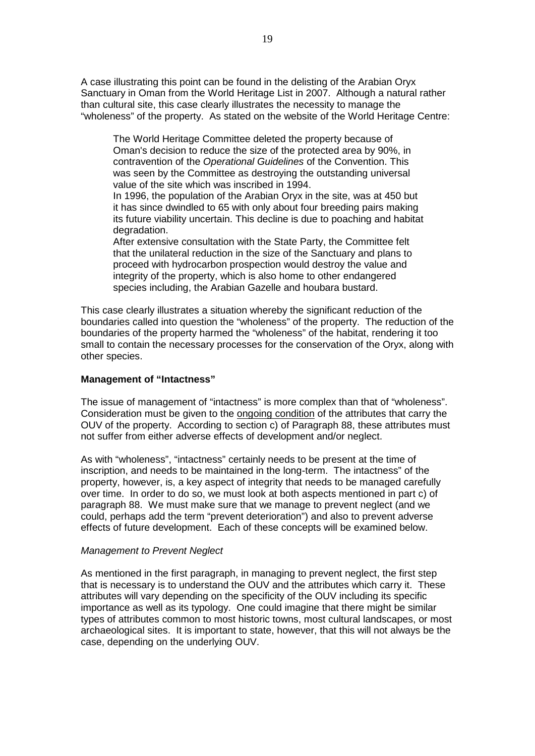A case illustrating this point can be found in the delisting of the Arabian Oryx Sanctuary in Oman from the World Heritage List in 2007. Although a natural rather than cultural site, this case clearly illustrates the necessity to manage the "wholeness" of the property. As stated on the website of the World Heritage Centre:

The World Heritage Committee deleted the property because of Oman's decision to reduce the size of the protected area by 90%, in contravention of the *Operational Guidelines* of the Convention. This was seen by the Committee as destroying the outstanding universal value of the site which was inscribed in 1994.

In 1996, the population of the Arabian Oryx in the site, was at 450 but it has since dwindled to 65 with only about four breeding pairs making its future viability uncertain. This decline is due to poaching and habitat degradation.

After extensive consultation with the State Party, the Committee felt that the unilateral reduction in the size of the Sanctuary and plans to proceed with hydrocarbon prospection would destroy the value and integrity of the property, which is also home to other endangered species including, the Arabian Gazelle and houbara bustard.

This case clearly illustrates a situation whereby the significant reduction of the boundaries called into question the "wholeness" of the property. The reduction of the boundaries of the property harmed the "wholeness" of the habitat, rendering it too small to contain the necessary processes for the conservation of the Oryx, along with other species.

#### **Management of "Intactness"**

The issue of management of "intactness" is more complex than that of "wholeness". Consideration must be given to the ongoing condition of the attributes that carry the OUV of the property. According to section c) of Paragraph 88, these attributes must not suffer from either adverse effects of development and/or neglect.

As with "wholeness", "intactness" certainly needs to be present at the time of inscription, and needs to be maintained in the long-term. The intactness" of the property, however, is, a key aspect of integrity that needs to be managed carefully over time. In order to do so, we must look at both aspects mentioned in part c) of paragraph 88. We must make sure that we manage to prevent neglect (and we could, perhaps add the term "prevent deterioration") and also to prevent adverse effects of future development. Each of these concepts will be examined below.

#### *Management to Prevent Neglect*

As mentioned in the first paragraph, in managing to prevent neglect, the first step that is necessary is to understand the OUV and the attributes which carry it. These attributes will vary depending on the specificity of the OUV including its specific importance as well as its typology. One could imagine that there might be similar types of attributes common to most historic towns, most cultural landscapes, or most archaeological sites. It is important to state, however, that this will not always be the case, depending on the underlying OUV.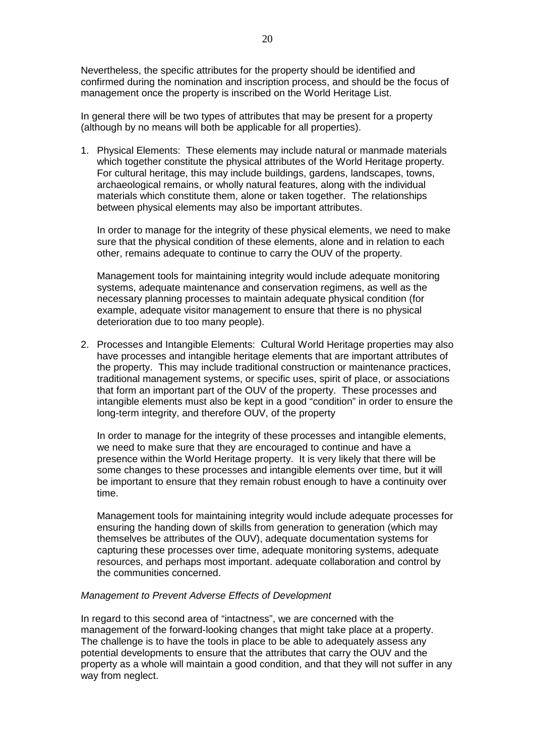Nevertheless, the specific attributes for the property should be identified and confirmed during the nomination and inscription process, and should be the focus of management once the property is inscribed on the World Heritage List.

In general there will be two types of attributes that may be present for a property (although by no means will both be applicable for all properties).

1. Physical Elements: These elements may include natural or manmade materials which together constitute the physical attributes of the World Heritage property. For cultural heritage, this may include buildings, gardens, landscapes, towns, archaeological remains, or wholly natural features, along with the individual materials which constitute them, alone or taken together. The relationships between physical elements may also be important attributes.

In order to manage for the integrity of these physical elements, we need to make sure that the physical condition of these elements, alone and in relation to each other, remains adequate to continue to carry the OUV of the property.

Management tools for maintaining integrity would include adequate monitoring systems, adequate maintenance and conservation regimens, as well as the necessary planning processes to maintain adequate physical condition (for example, adequate visitor management to ensure that there is no physical deterioration due to too many people).

2. Processes and Intangible Elements: Cultural World Heritage properties may also have processes and intangible heritage elements that are important attributes of the property. This may include traditional construction or maintenance practices, traditional management systems, or specific uses, spirit of place, or associations that form an important part of the OUV of the property. These processes and intangible elements must also be kept in a good "condition" in order to ensure the long-term integrity, and therefore OUV, of the property

In order to manage for the integrity of these processes and intangible elements, we need to make sure that they are encouraged to continue and have a presence within the World Heritage property. It is very likely that there will be some changes to these processes and intangible elements over time, but it will be important to ensure that they remain robust enough to have a continuity over time.

Management tools for maintaining integrity would include adequate processes for ensuring the handing down of skills from generation to generation (which may themselves be attributes of the OUV), adequate documentation systems for capturing these processes over time, adequate monitoring systems, adequate resources, and perhaps most important. adequate collaboration and control by the communities concerned.

#### *Management to Prevent Adverse Effects of Development*

In regard to this second area of "intactness", we are concerned with the management of the forward-looking changes that might take place at a property. The challenge is to have the tools in place to be able to adequately assess any potential developments to ensure that the attributes that carry the OUV and the property as a whole will maintain a good condition, and that they will not suffer in any way from neglect.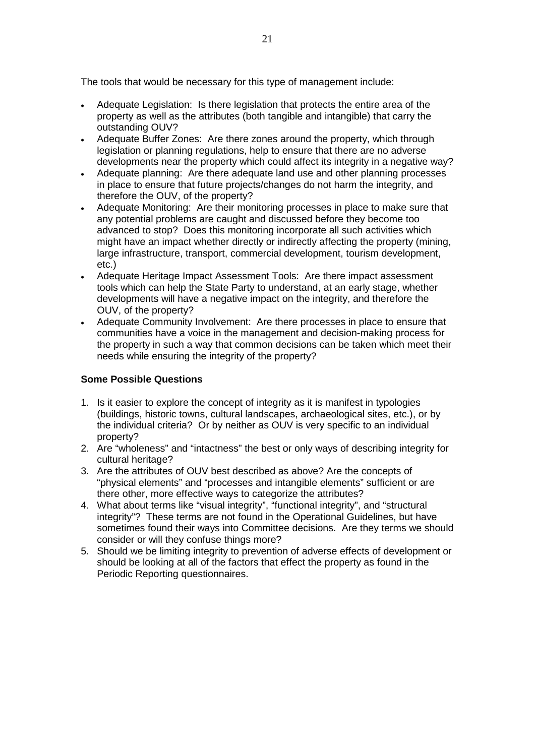The tools that would be necessary for this type of management include:

- Adequate Legislation: Is there legislation that protects the entire area of the property as well as the attributes (both tangible and intangible) that carry the outstanding OUV?
- Adequate Buffer Zones: Are there zones around the property, which through legislation or planning regulations, help to ensure that there are no adverse developments near the property which could affect its integrity in a negative way?
- Adequate planning: Are there adequate land use and other planning processes in place to ensure that future projects/changes do not harm the integrity, and therefore the OUV, of the property?
- Adequate Monitoring: Are their monitoring processes in place to make sure that any potential problems are caught and discussed before they become too advanced to stop? Does this monitoring incorporate all such activities which might have an impact whether directly or indirectly affecting the property (mining, large infrastructure, transport, commercial development, tourism development, etc.)
- Adequate Heritage Impact Assessment Tools: Are there impact assessment tools which can help the State Party to understand, at an early stage, whether developments will have a negative impact on the integrity, and therefore the OUV, of the property?
- Adequate Community Involvement: Are there processes in place to ensure that communities have a voice in the management and decision-making process for the property in such a way that common decisions can be taken which meet their needs while ensuring the integrity of the property?

## **Some Possible Questions**

- 1. Is it easier to explore the concept of integrity as it is manifest in typologies (buildings, historic towns, cultural landscapes, archaeological sites, etc.), or by the individual criteria? Or by neither as OUV is very specific to an individual property?
- 2. Are "wholeness" and "intactness" the best or only ways of describing integrity for cultural heritage?
- 3. Are the attributes of OUV best described as above? Are the concepts of "physical elements" and "processes and intangible elements" sufficient or are there other, more effective ways to categorize the attributes?
- 4. What about terms like "visual integrity", "functional integrity", and "structural integrity"? These terms are not found in the Operational Guidelines, but have sometimes found their ways into Committee decisions. Are they terms we should consider or will they confuse things more?
- 5. Should we be limiting integrity to prevention of adverse effects of development or should be looking at all of the factors that effect the property as found in the Periodic Reporting questionnaires.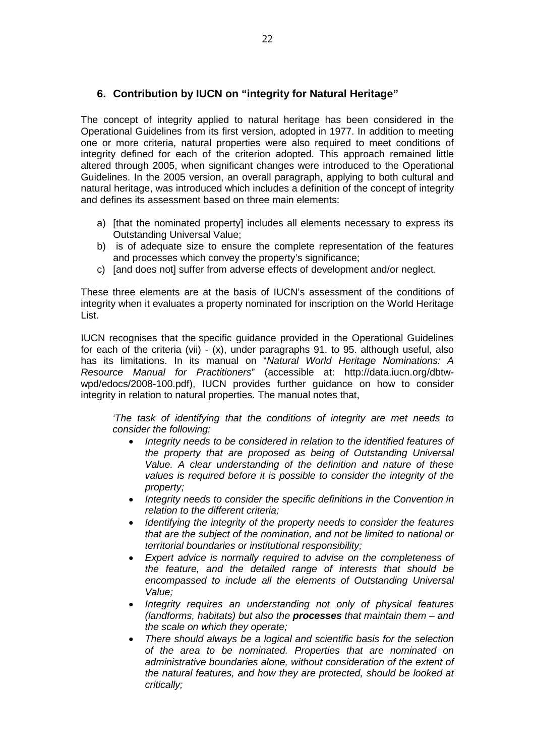# **6. Contribution by IUCN on "integrity for Natural Heritage"**

The concept of integrity applied to natural heritage has been considered in the Operational Guidelines from its first version, adopted in 1977. In addition to meeting one or more criteria, natural properties were also required to meet conditions of integrity defined for each of the criterion adopted. This approach remained little altered through 2005, when significant changes were introduced to the Operational Guidelines. In the 2005 version, an overall paragraph, applying to both cultural and natural heritage, was introduced which includes a definition of the concept of integrity and defines its assessment based on three main elements:

- a) [that the nominated property] includes all elements necessary to express its Outstanding Universal Value;
- b) is of adequate size to ensure the complete representation of the features and processes which convey the property's significance;
- c) [and does not] suffer from adverse effects of development and/or neglect.

These three elements are at the basis of IUCN's assessment of the conditions of integrity when it evaluates a property nominated for inscription on the World Heritage List.

IUCN recognises that the specific guidance provided in the Operational Guidelines for each of the criteria (vii) - (x), under paragraphs 91. to 95. although useful, also has its limitations. In its manual on "*Natural World Heritage Nominations: A Resource Manual for Practitioners*" (accessible at: [http://data.iucn.org/dbtw](http://data.iucn.org/dbtw-wpd/edocs/2008-100.pdf)[wpd/edocs/2008-100.pdf\)](http://data.iucn.org/dbtw-wpd/edocs/2008-100.pdf), IUCN provides further guidance on how to consider integrity in relation to natural properties. The manual notes that,

*'The task of identifying that the conditions of integrity are met needs to consider the following:*

- *Integrity needs to be considered in relation to the identified features of the property that are proposed as being of Outstanding Universal Value. A clear understanding of the definition and nature of these*  values is required before it is possible to consider the integrity of the *property;*
- *Integrity needs to consider the specific definitions in the Convention in relation to the different criteria;*
- *Identifying the integrity of the property needs to consider the features that are the subject of the nomination, and not be limited to national or territorial boundaries or institutional responsibility;*
- *Expert advice is normally required to advise on the completeness of the feature, and the detailed range of interests that should be encompassed to include all the elements of Outstanding Universal Value;*
- *Integrity requires an understanding not only of physical features (landforms, habitats) but also the processes that maintain them – and the scale on which they operate;*
- *There should always be a logical and scientific basis for the selection of the area to be nominated. Properties that are nominated on administrative boundaries alone, without consideration of the extent of the natural features, and how they are protected, should be looked at critically;*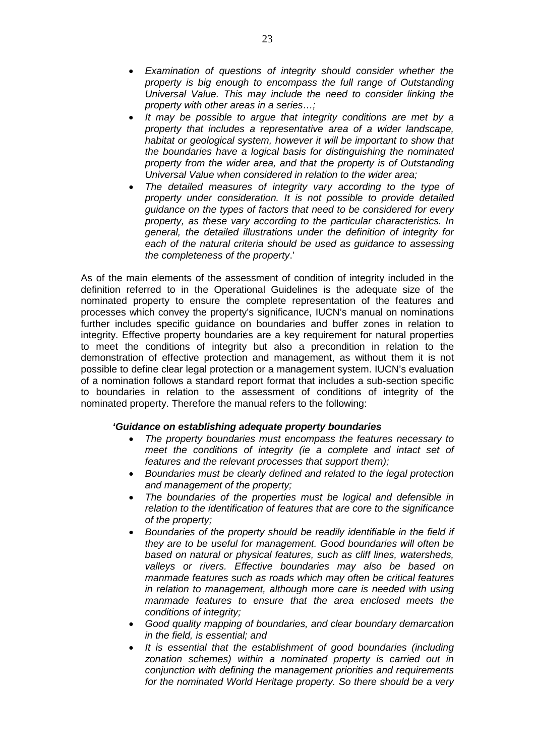- *Examination of questions of integrity should consider whether the property is big enough to encompass the full range of Outstanding Universal Value. This may include the need to consider linking the property with other areas in a series…;*
- *It may be possible to argue that integrity conditions are met by a property that includes a representative area of a wider landscape, habitat or geological system, however it will be important to show that the boundaries have a logical basis for distinguishing the nominated property from the wider area, and that the property is of Outstanding Universal Value when considered in relation to the wider area;*
- *The detailed measures of integrity vary according to the type of property under consideration. It is not possible to provide detailed guidance on the types of factors that need to be considered for every property, as these vary according to the particular characteristics. In general, the detailed illustrations under the definition of integrity for each of the natural criteria should be used as guidance to assessing the completeness of the property*.'

As of the main elements of the assessment of condition of integrity included in the definition referred to in the Operational Guidelines is the adequate size of the nominated property to ensure the complete representation of the features and processes which convey the property's significance, IUCN's manual on nominations further includes specific guidance on boundaries and buffer zones in relation to integrity. Effective property boundaries are a key requirement for natural properties to meet the conditions of integrity but also a precondition in relation to the demonstration of effective protection and management, as without them it is not possible to define clear legal protection or a management system. IUCN's evaluation of a nomination follows a standard report format that includes a sub-section specific to boundaries in relation to the assessment of conditions of integrity of the nominated property. Therefore the manual refers to the following:

## *'Guidance on establishing adequate property boundaries*

- *The property boundaries must encompass the features necessary to meet the conditions of integrity (ie a complete and intact set of features and the relevant processes that support them);*
- *Boundaries must be clearly defined and related to the legal protection and management of the property;*
- *The boundaries of the properties must be logical and defensible in relation to the identification of features that are core to the significance of the property;*
- *Boundaries of the property should be readily identifiable in the field if they are to be useful for management. Good boundaries will often be based on natural or physical features, such as cliff lines, watersheds, valleys or rivers. Effective boundaries may also be based on manmade features such as roads which may often be critical features in relation to management, although more care is needed with using manmade features to ensure that the area enclosed meets the conditions of integrity;*
- *Good quality mapping of boundaries, and clear boundary demarcation in the field, is essential; and*
- *It is essential that the establishment of good boundaries (including zonation schemes) within a nominated property is carried out in conjunction with defining the management priorities and requirements for the nominated World Heritage property. So there should be a very*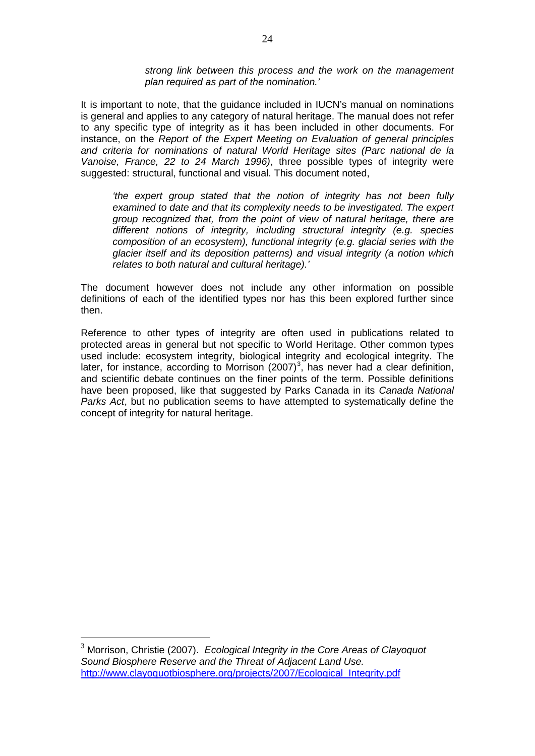*strong link between this process and the work on the management plan required as part of the nomination.'* 

It is important to note, that the guidance included in IUCN's manual on nominations is general and applies to any category of natural heritage. The manual does not refer to any specific type of integrity as it has been included in other documents. For instance, on the *Report of the Expert Meeting on Evaluation of general principles and criteria for nominations of natural World Heritage sites (Parc national de la Vanoise, France, 22 to 24 March 1996)*, three possible types of integrity were suggested: structural, functional and visual. This document noted,

*'the expert group stated that the notion of integrity has not been fully examined to date and that its complexity needs to be investigated. The expert group recognized that, from the point of view of natural heritage, there are different notions of integrity, including structural integrity (e.g. species composition of an ecosystem), functional integrity (e.g. glacial series with the glacier itself and its deposition patterns) and visual integrity (a notion which relates to both natural and cultural heritage).'* 

The document however does not include any other information on possible definitions of each of the identified types nor has this been explored further since then.

Reference to other types of integrity are often used in publications related to protected areas in general but not specific to World Heritage. Other common types used include: ecosystem integrity, biological integrity and ecological integrity. The later, for instance, according to Morrison  $(2007)^3$  $(2007)^3$ , has never had a clear definition, and scientific debate continues on the finer points of the term. Possible definitions have been proposed, like that suggested by Parks Canada in its *Canada National Parks Act*, but no publication seems to have attempted to systematically define the concept of integrity for natural heritage.

<span id="page-23-0"></span> <sup>3</sup> Morrison, Christie (2007). *Ecological Integrity in the Core Areas of Clayoquot Sound Biosphere Reserve and the Threat of Adjacent Land Use.* [http://www.clayoquotbiosphere.org/projects/2007/Ecological\\_Integrity.pdf](http://www.clayoquotbiosphere.org/projects/2007/Ecological_Integrity.pdf)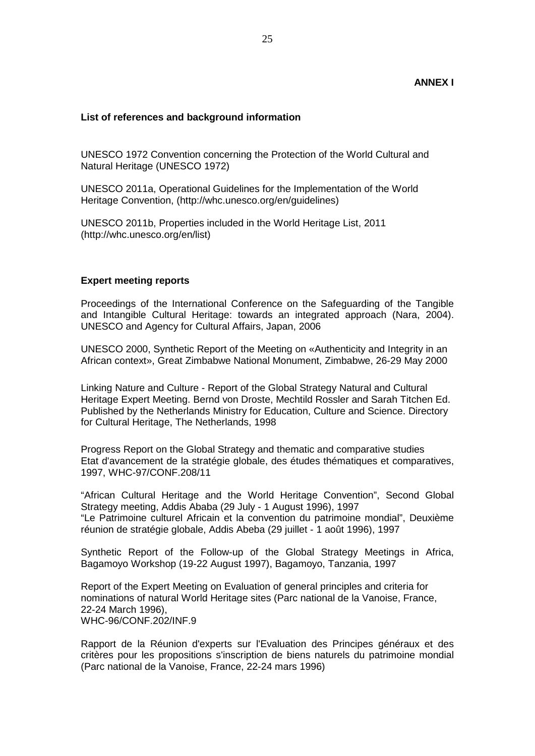#### **ANNEX I**

#### **List of references and background information**

UNESCO 1972 Convention concerning the Protection of the World Cultural and Natural Heritage (UNESCO 1972)

UNESCO 2011a, Operational Guidelines for the Implementation of the World Heritage Convention, [\(http://whc.unesco.org/en/guidelines\)](http://whc.unesco.org/en/guidelines)

UNESCO 2011b, Properties included in the World Heritage List, 2011 [\(http://whc.unesco.org/en/list\)](http://whc.unesco.org/en/list)

#### **Expert meeting reports**

Proceedings of the International Conference on the Safeguarding of the Tangible and Intangible Cultural Heritage: towards an integrated approach (Nara, 2004). UNESCO and Agency for Cultural Affairs, Japan, 2006

UNESCO 2000, Synthetic Report of the Meeting on «Authenticity and Integrity in an African context», Great Zimbabwe National Monument, Zimbabwe, 26-29 May 2000

Linking Nature and Culture - Report of the Global Strategy Natural and Cultural Heritage Expert Meeting. Bernd von Droste, Mechtild Rossler and Sarah Titchen Ed. Published by the Netherlands Ministry for Education, Culture and Science. Directory for Cultural Heritage, The Netherlands, 1998

Progress Report on the Global Strategy and thematic and comparative studies Etat d'avancement de la stratégie globale, des études thématiques et comparatives, 1997, WHC-97/CONF.208/11

"African Cultural Heritage and the World Heritage Convention", Second Global Strategy meeting, Addis Ababa (29 July - 1 August 1996), 1997 "Le Patrimoine culturel Africain et la convention du patrimoine mondial", Deuxième réunion de stratégie globale, Addis Abeba (29 juillet - 1 août 1996), 1997

Synthetic Report of the Follow-up of the Global Strategy Meetings in Africa, Bagamoyo Workshop (19-22 August 1997), Bagamoyo, Tanzania, 1997

Report of the Expert Meeting on Evaluation of general principles and criteria for nominations of natural World Heritage sites (Parc national de la Vanoise, France, 22-24 March 1996), WHC-96/CONF.202/INF.9

Rapport de la Réunion d'experts sur l'Evaluation des Principes généraux et des critères pour les propositions s'inscription de biens naturels du patrimoine mondial (Parc national de la Vanoise, France, 22-24 mars 1996)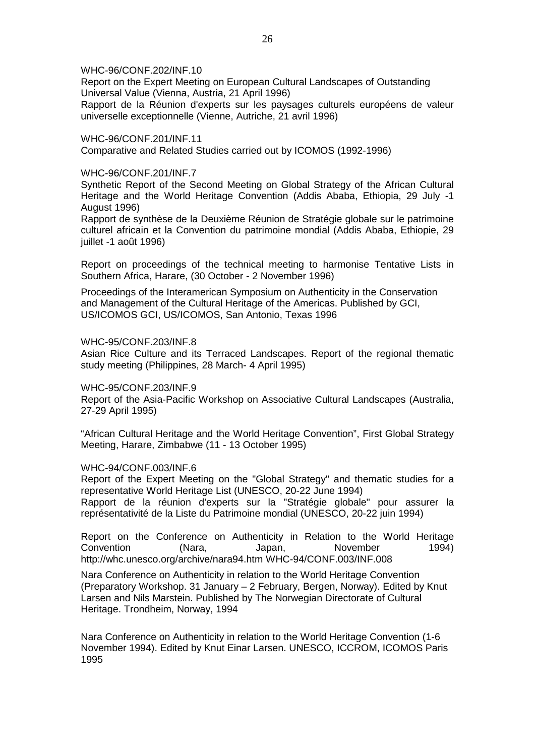WHC-96/CONF.202/INF.10

Report on the Expert Meeting on European Cultural Landscapes of Outstanding Universal Value (Vienna, Austria, 21 April 1996)

Rapport de la Réunion d'experts sur les paysages culturels européens de valeur universelle exceptionnelle (Vienne, Autriche, 21 avril 1996)

WHC-96/CONF.201/INF.11 Comparative and Related Studies carried out by ICOMOS (1992-1996)

#### WHC-96/CONF.201/INF.7

Synthetic Report of the Second Meeting on Global Strategy of the African Cultural Heritage and the World Heritage Convention (Addis Ababa, Ethiopia, 29 July -1 August 1996)

Rapport de synthèse de la Deuxième Réunion de Stratégie globale sur le patrimoine culturel africain et la Convention du patrimoine mondial (Addis Ababa, Ethiopie, 29 juillet -1 août 1996)

Report on proceedings of the technical meeting to harmonise Tentative Lists in Southern Africa, Harare, (30 October - 2 November 1996)

Proceedings of the Interamerican Symposium on Authenticity in the Conservation and Management of the Cultural Heritage of the Americas. Published by GCI, US/ICOMOS GCI, US/ICOMOS, San Antonio, Texas 1996

#### WHC-95/CONF.203/INF.8

Asian Rice Culture and its Terraced Landscapes. Report of the regional thematic study meeting (Philippines, 28 March- 4 April 1995)

WHC-95/CONF.203/INF.9

Report of the Asia-Pacific Workshop on Associative Cultural Landscapes (Australia, 27-29 April 1995)

"African Cultural Heritage and the World Heritage Convention", First Global Strategy Meeting, Harare, Zimbabwe (11 - 13 October 1995)

#### WHC-94/CONF.003/INF.6

Report of the Expert Meeting on the "Global Strategy" and thematic studies for a representative World Heritage List (UNESCO, 20-22 June 1994) Rapport de la réunion d'experts sur la "Stratégie globale" pour assurer la représentativité de la Liste du Patrimoine mondial (UNESCO, 20-22 juin 1994)

Report on the Conference on Authenticity in Relation to the World Heritage Convention (Nara, Japan, November 1994) <http://whc.unesco.org/archive/nara94.htm> WHC-94/CONF.003/INF.008

Nara Conference on Authenticity in relation to the World Heritage Convention (Preparatory Workshop. 31 January – 2 February, Bergen, Norway). Edited by Knut Larsen and Nils Marstein. Published by The Norwegian Directorate of Cultural Heritage. Trondheim, Norway, 1994

Nara Conference on Authenticity in relation to the World Heritage Convention (1-6 November 1994). Edited by Knut Einar Larsen. UNESCO, ICCROM, ICOMOS Paris 1995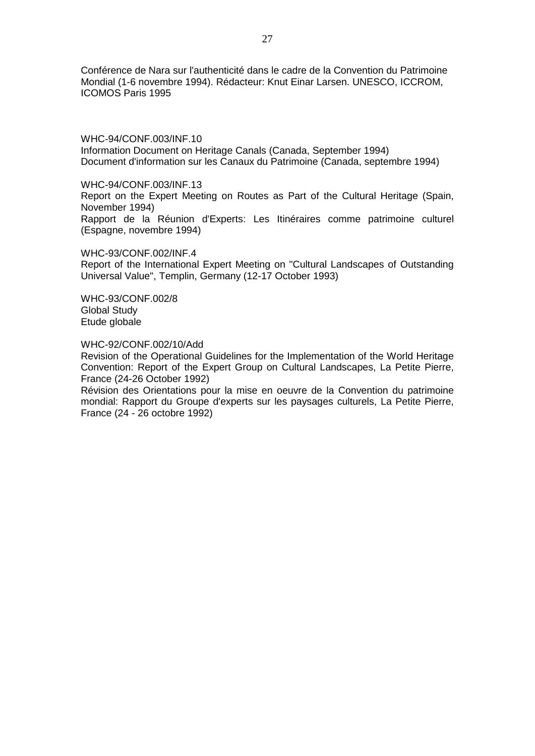Conférence de Nara sur l'authenticité dans le cadre de la Convention du Patrimoine Mondial (1-6 novembre 1994). Rédacteur: Knut Einar Larsen. UNESCO, ICCROM, ICOMOS Paris 1995

WHC-94/CONF.003/INF.10 Information Document on Heritage Canals (Canada, September 1994) Document d'information sur les Canaux du Patrimoine (Canada, septembre 1994)

WHC-94/CONF.003/INF.13

Report on the Expert Meeting on Routes as Part of the Cultural Heritage (Spain, November 1994)

Rapport de la Réunion d'Experts: Les Itinéraires comme patrimoine culturel (Espagne, novembre 1994)

WHC-93/CONF.002/INF.4

Report of the International Expert Meeting on "Cultural Landscapes of Outstanding Universal Value", Templin, Germany (12-17 October 1993)

WHC-93/CONF.002/8 Global Study Etude globale

WHC-92/CONF.002/10/Add

Revision of the Operational Guidelines for the Implementation of the World Heritage Convention: Report of the Expert Group on Cultural Landscapes, La Petite Pierre, France (24-26 October 1992)

Révision des Orientations pour la mise en oeuvre de la Convention du patrimoine mondial: Rapport du Groupe d'experts sur les paysages culturels, La Petite Pierre, France (24 - 26 octobre 1992)